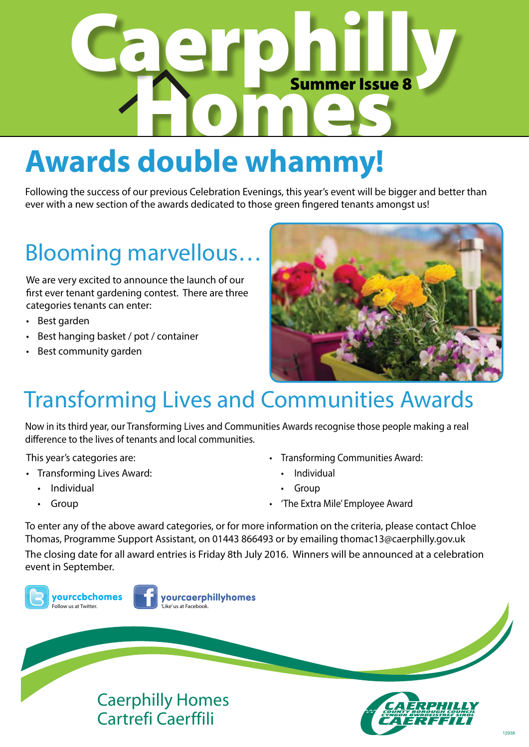

## **Awards double whammy!**

Following the success of our previous Celebration Evenings, this year's event will be bigger and better than ever with a new section of the awards dedicated to those green fingered tenants amongst us!

### Blooming marvellous…

We are very excited to announce the launch of our first ever tenant gardening contest. There are three categories tenants can enter:

- • Best garden
- • Best hanging basket / pot / container
- • Best community garden



### Transforming Lives and Communities Awards

Now in its third year, our Transforming Lives and Communities Awards recognise those people making a real difference to the lives of tenants and local communities.

This year's categories are:

- Transforming Lives Award:
	- Individual
	- • Group
- • Transforming Communities Award:
	- **Individual**
	- • Group
- • 'The Extra Mile' Employee Award

To enter any of the above award categories, or for more information on the criteria, please contact Chloe Thomas, Programme Support Assistant, on 01443 866493 or by emailing thomac13@caerphilly.gov.uk The closing date for all award entries is Friday 8th July 2016. Winners will be announced at a celebration event in September.

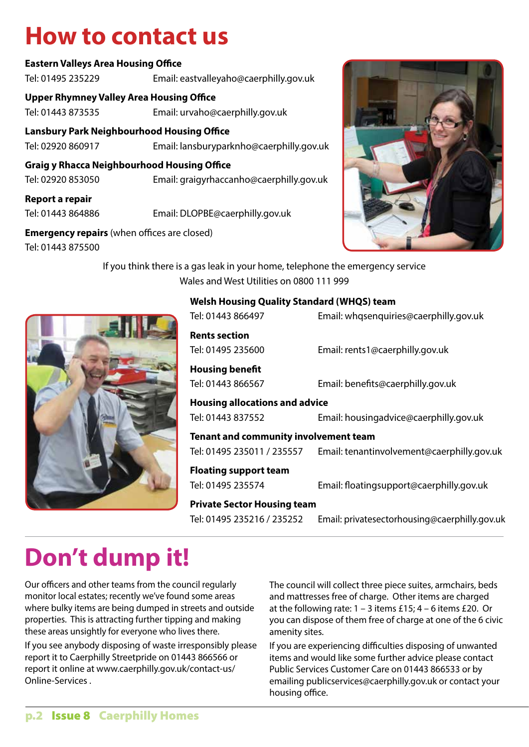### **How to contact us**

#### **Eastern Valleys Area Housing Office**

Tel: 01495 235229 Email: eastvalleyaho@caerphilly.gov.uk

**Upper Rhymney Valley Area Housing Office**

Tel: 01443 873535 Email: urvaho@caerphilly.gov.uk

**Lansbury Park Neighbourhood Housing Office**

Tel: 02920 860917 Email: lansburyparknho@caerphilly.gov.uk

**Graig y Rhacca Neighbourhood Housing Office**

Tel: 02920 853050 Email: graigyrhaccanho@caerphilly.gov.uk

**Report a repair**

Tel: 01443 864886 Email: DLOPBE@caerphilly.gov.uk

**Emergency repairs** (when offices are closed)

Tel: 01443 875500



If you think there is a gas leak in your home, telephone the emergency service Wales and West Utilities on 0800 111 999



#### **Welsh Housing Quality Standard (WHQS) team**

| Tel: 01443 866497                                          | Email: whqsenquiries@caerphilly.gov.uk                                  |  |  |
|------------------------------------------------------------|-------------------------------------------------------------------------|--|--|
| <b>Rents section</b><br>Tel: 01495 235600                  | Email: rents1@caerphilly.gov.uk                                         |  |  |
| Housing benefit<br>Tel: 01443 866567                       | Email: benefits@caerphilly.gov.uk                                       |  |  |
| <b>Housing allocations and advice</b><br>Tel: 01443 837552 | Email: housingadvice@caerphilly.gov.uk                                  |  |  |
| Tenant and community involvement team                      | Tel: 01495 235011 / 235557   Email: tenantinvolvement@caerphilly.gov.uk |  |  |
| <b>Floating support team</b><br>Tel: 01495 235574          | Email: floatingsupport@caerphilly.gov.uk                                |  |  |

#### **Private Sector Housing team**

Tel: 01495 235216 / 235252 Email: privatesectorhousing@caerphilly.gov.uk

### **Don't dump it!**

Our officers and other teams from the council regularly monitor local estates; recently we've found some areas where bulky items are being dumped in streets and outside properties. This is attracting further tipping and making these areas unsightly for everyone who lives there.

If you see anybody disposing of waste irresponsibly please report it to Caerphilly Streetpride on 01443 866566 or report it online at www.caerphilly.gov.uk/contact-us/ Online-Services .

The council will collect three piece suites, armchairs, beds and mattresses free of charge. Other items are charged at the following rate:  $1 - 3$  items £15;  $4 - 6$  items £20. Or you can dispose of them free of charge at one of the 6 civic amenity sites.

If you are experiencing difficulties disposing of unwanted items and would like some further advice please contact Public Services Customer Care on 01443 866533 or by emailing publicservices@caerphilly.gov.uk or contact your housing office.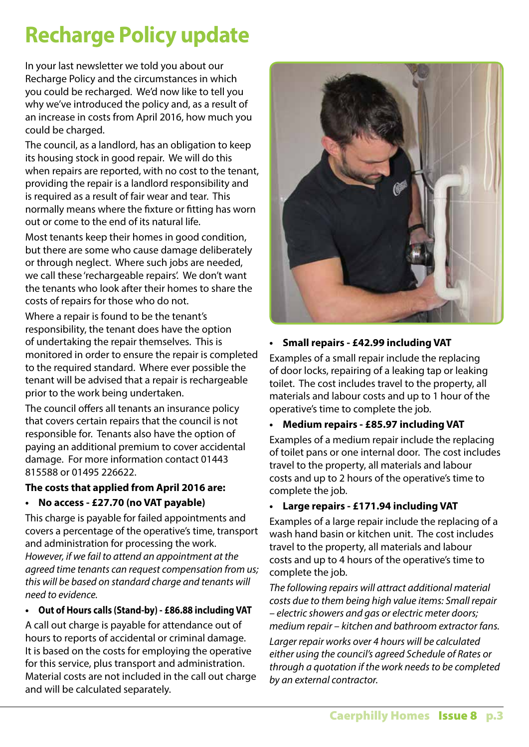### **Recharge Policy update**

In your last newsletter we told you about our Recharge Policy and the circumstances in which you could be recharged. We'd now like to tell you why we've introduced the policy and, as a result of an increase in costs from April 2016, how much you could be charged.

The council, as a landlord, has an obligation to keep its housing stock in good repair. We will do this when repairs are reported, with no cost to the tenant, providing the repair is a landlord responsibility and is required as a result of fair wear and tear. This normally means where the fixture or fitting has worn out or come to the end of its natural life.

Most tenants keep their homes in good condition, but there are some who cause damage deliberately or through neglect. Where such jobs are needed, we call these 'rechargeable repairs'. We don't want the tenants who look after their homes to share the costs of repairs for those who do not.

Where a repair is found to be the tenant's responsibility, the tenant does have the option of undertaking the repair themselves. This is monitored in order to ensure the repair is completed to the required standard. Where ever possible the tenant will be advised that a repair is rechargeable prior to the work being undertaken.

The council offers all tenants an insurance policy that covers certain repairs that the council is not responsible for. Tenants also have the option of paying an additional premium to cover accidental damage. For more information contact 01443 815588 or 01495 226622.

#### **The costs that applied from April 2016 are:**

**• No access - £27.70 (no VAT payable)**

This charge is payable for failed appointments and covers a percentage of the operative's time, transport and administration for processing the work. *However, if we fail to attend an appointment at the agreed time tenants can request compensation from us; this will be based on standard charge and tenants will need to evidence.*

#### **• Out of Hours calls (Stand-by) - £86.88 including VAT**

A call out charge is payable for attendance out of hours to reports of accidental or criminal damage. It is based on the costs for employing the operative for this service, plus transport and administration. Material costs are not included in the call out charge and will be calculated separately.



#### **• Small repairs - £42.99 including VAT**

Examples of a small repair include the replacing of door locks, repairing of a leaking tap or leaking toilet. The cost includes travel to the property, all materials and labour costs and up to 1 hour of the operative's time to complete the job.

#### **• Medium repairs - £85.97 including VAT**

Examples of a medium repair include the replacing of toilet pans or one internal door. The cost includes travel to the property, all materials and labour costs and up to 2 hours of the operative's time to complete the job.

#### **• Large repairs - £171.94 including VAT**

Examples of a large repair include the replacing of a wash hand basin or kitchen unit. The cost includes travel to the property, all materials and labour costs and up to 4 hours of the operative's time to complete the job.

*The following repairs will attract additional material costs due to them being high value items: Small repair – electric showers and gas or electric meter doors; medium repair – kitchen and bathroom extractor fans.*

*Larger repair works over 4 hours will be calculated either using the council's agreed Schedule of Rates or through a quotation if the work needs to be completed by an external contractor.*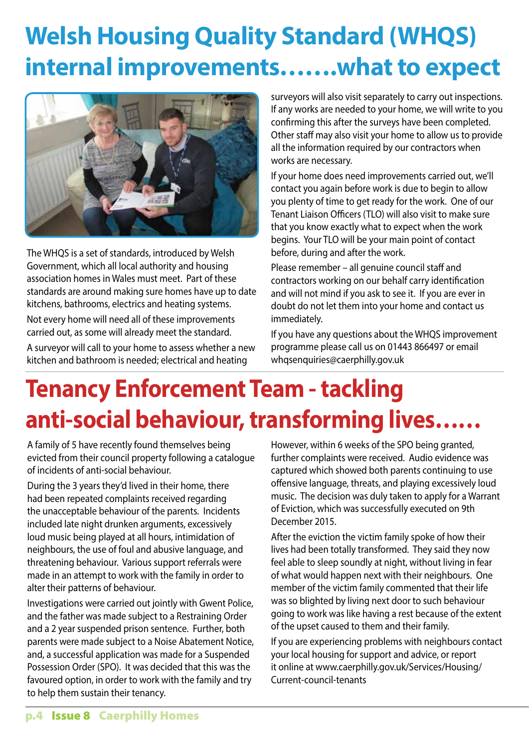## **Welsh Housing Quality Standard (WHQS) internal improvements.......what to expect**



The WHQS is a set of standards, introduced by Welsh Government, which all local authority and housing association homes in Wales must meet. Part of these standards are around making sure homes have up to date kitchens, bathrooms, electrics and heating systems. Not every home will need all of these improvements carried out, as some will already meet the standard.

A surveyor will call to your home to assess whether a new kitchen and bathroom is needed; electrical and heating

surveyors will also visit separately to carry out inspections. If any works are needed to your home, we will write to you confirming this after the surveys have been completed. Other staff may also visit your home to allow us to provide all the information required by our contractors when works are necessary.

If your home does need improvements carried out, we'll contact you again before work is due to begin to allow you plenty of time to get ready for the work. One of our Tenant Liaison Officers (TLO) will also visit to make sure that you know exactly what to expect when the work begins. Your TLO will be your main point of contact before, during and after the work.

Please remember – all genuine council staff and contractors working on our behalf carry identification and will not mind if you ask to see it. If you are ever in doubt do not let them into your home and contact us immediately.

If you have any questions about the WHQS improvement programme please call us on 01443 866497 or email whqsenquiries@caerphilly.gov.uk

## **Tenancy Enforcement Team - tackling anti-social behaviour,transforming lives……**

A family of 5 have recently found themselves being evicted from their council property following a catalogue of incidents of anti-social behaviour.

During the 3 years they'd lived in their home, there had been repeated complaints received regarding the unacceptable behaviour of the parents. Incidents included late night drunken arguments, excessively loud music being played at all hours, intimidation of neighbours, the use of foul and abusive language, and threatening behaviour. Various support referrals were made in an attempt to work with the family in order to alter their patterns of behaviour.

Investigations were carried out jointly with Gwent Police, and the father was made subject to a Restraining Order and a 2 year suspended prison sentence. Further, both parents were made subject to a Noise Abatement Notice, and, a successful application was made for a Suspended Possession Order (SPO). It was decided that this was the favoured option, in order to work with the family and try to help them sustain their tenancy.

However, within 6 weeks of the SPO being granted, further complaints were received. Audio evidence was captured which showed both parents continuing to use offensive language, threats, and playing excessively loud music. The decision was duly taken to apply for a Warrant of Eviction, which was successfully executed on 9th December 2015.

After the eviction the victim family spoke of how their lives had been totally transformed. They said they now feel able to sleep soundly at night, without living in fear of what would happen next with their neighbours. One member of the victim family commented that their life was so blighted by living next door to such behaviour going to work was like having a rest because of the extent of the upset caused to them and their family.

If you are experiencing problems with neighbours contact your local housing for support and advice, or report it online at www.caerphilly.gov.uk/Services/Housing/ Current-council-tenants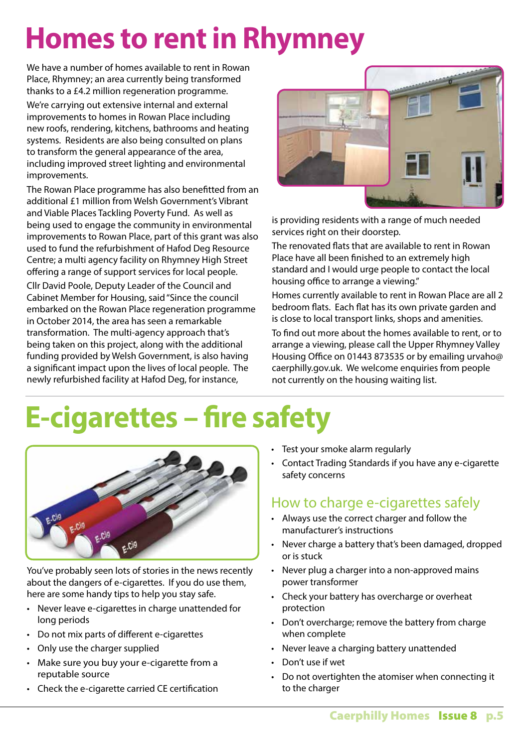## **Homes to rent in Rhymney**

We have a number of homes available to rent in Rowan Place, Rhymney; an area currently being transformed thanks to a £4.2 million regeneration programme. We're carrying out extensive internal and external improvements to homes in Rowan Place including new roofs, rendering, kitchens, bathrooms and heating systems. Residents are also being consulted on plans to transform the general appearance of the area, including improved street lighting and environmental improvements.

The Rowan Place programme has also benefitted from an additional £1 million from Welsh Government's Vibrant and Viable Places Tackling Poverty Fund. As well as being used to engage the community in environmental improvements to Rowan Place, part of this grant was also used to fund the refurbishment of Hafod Deg Resource Centre; a multi agency facility on Rhymney High Street offering a range of support services for local people.

Cllr David Poole, Deputy Leader of the Council and Cabinet Member for Housing, said"Since the council embarked on the Rowan Place regeneration programme in October 2014, the area has seen a remarkable transformation. The multi-agency approach that's being taken on this project, along with the additional funding provided by Welsh Government, is also having a significant impact upon the lives of local people. The newly refurbished facility at Hafod Deg, for instance,



is providing residents with a range of much needed services right on their doorstep.

The renovated flats that are available to rent in Rowan Place have all been finished to an extremely high standard and I would urge people to contact the local housing office to arrange a viewing."

Homes currently available to rent in Rowan Place are all 2 bedroom flats. Each flat has its own private garden and is close to local transport links, shops and amenities.

To find out more about the homes available to rent, or to arrange a viewing, please call the Upper Rhymney Valley Housing Office on 01443 873535 or by emailing urvaho@ caerphilly.gov.uk. We welcome enquiries from people not currently on the housing waiting list.

# **E-cigarettes – fire safety**



You've probably seen lots of stories in the news recently about the dangers of e-cigarettes. If you do use them, here are some handy tips to help you stay safe.

- Never leave e-cigarettes in charge unattended for long periods
- • Do not mix parts of different e-cigarettes
- Only use the charger supplied
- Make sure you buy your e-cigarette from a reputable source
- • Check the e-cigarette carried CE certification
- Test your smoke alarm regularly
- • Contact Trading Standards if you have any e-cigarette safety concerns

### How to charge e-cigarettes safely

- • Always use the correct charger and follow the manufacturer's instructions
- Never charge a battery that's been damaged, dropped or is stuck
- Never plug a charger into a non-approved mains power transformer
- Check your battery has overcharge or overheat protection
- Don't overcharge; remove the battery from charge when complete
- Never leave a charging battery unattended
- • Don't use if wet
- Do not overtighten the atomiser when connecting it to the charger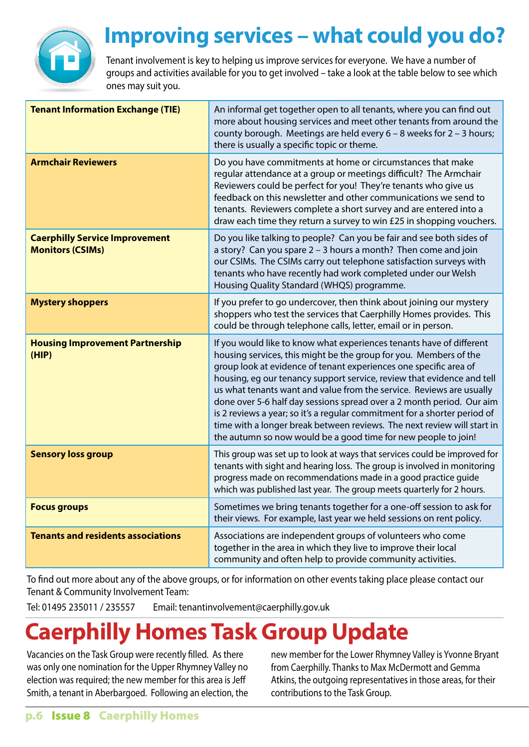

### **Improving services – what could you do?**

Tenant involvement is key to helping us improve services for everyone. We have a number of groups and activities available for you to get involved – take a look at the table below to see which ones may suit you.

| <b>Tenant Information Exchange (TIE)</b>                         | An informal get together open to all tenants, where you can find out<br>more about housing services and meet other tenants from around the<br>county borough. Meetings are held every $6 - 8$ weeks for $2 - 3$ hours;<br>there is usually a specific topic or theme.                                                                                                                                                                                                                                                                                                                                                                                               |  |  |  |
|------------------------------------------------------------------|---------------------------------------------------------------------------------------------------------------------------------------------------------------------------------------------------------------------------------------------------------------------------------------------------------------------------------------------------------------------------------------------------------------------------------------------------------------------------------------------------------------------------------------------------------------------------------------------------------------------------------------------------------------------|--|--|--|
| <b>Armchair Reviewers</b>                                        | Do you have commitments at home or circumstances that make<br>regular attendance at a group or meetings difficult? The Armchair<br>Reviewers could be perfect for you! They're tenants who give us<br>feedback on this newsletter and other communications we send to<br>tenants. Reviewers complete a short survey and are entered into a<br>draw each time they return a survey to win £25 in shopping vouchers.                                                                                                                                                                                                                                                  |  |  |  |
| <b>Caerphilly Service Improvement</b><br><b>Monitors (CSIMs)</b> | Do you like talking to people? Can you be fair and see both sides of<br>a story? Can you spare 2 - 3 hours a month? Then come and join<br>our CSIMs. The CSIMs carry out telephone satisfaction surveys with<br>tenants who have recently had work completed under our Welsh<br>Housing Quality Standard (WHQS) programme.                                                                                                                                                                                                                                                                                                                                          |  |  |  |
| <b>Mystery shoppers</b>                                          | If you prefer to go undercover, then think about joining our mystery<br>shoppers who test the services that Caerphilly Homes provides. This<br>could be through telephone calls, letter, email or in person.                                                                                                                                                                                                                                                                                                                                                                                                                                                        |  |  |  |
| <b>Housing Improvement Partnership</b><br>(HIP)                  | If you would like to know what experiences tenants have of different<br>housing services, this might be the group for you. Members of the<br>group look at evidence of tenant experiences one specific area of<br>housing, eg our tenancy support service, review that evidence and tell<br>us what tenants want and value from the service. Reviews are usually<br>done over 5-6 half day sessions spread over a 2 month period. Our aim<br>is 2 reviews a year; so it's a regular commitment for a shorter period of<br>time with a longer break between reviews. The next review will start in<br>the autumn so now would be a good time for new people to join! |  |  |  |
| <b>Sensory loss group</b>                                        | This group was set up to look at ways that services could be improved for<br>tenants with sight and hearing loss. The group is involved in monitoring<br>progress made on recommendations made in a good practice guide<br>which was published last year. The group meets quarterly for 2 hours.                                                                                                                                                                                                                                                                                                                                                                    |  |  |  |
| <b>Focus groups</b>                                              | Sometimes we bring tenants together for a one-off session to ask for<br>their views. For example, last year we held sessions on rent policy.                                                                                                                                                                                                                                                                                                                                                                                                                                                                                                                        |  |  |  |
| <b>Tenants and residents associations</b>                        | Associations are independent groups of volunteers who come<br>together in the area in which they live to improve their local<br>community and often help to provide community activities.                                                                                                                                                                                                                                                                                                                                                                                                                                                                           |  |  |  |

To find out more about any of the above groups, or for information on other events taking place please contact our Tenant & Community Involvement Team:

Tel: 01495 235011 / 235557 Email: tenantinvolvement@caerphilly.gov.uk

### **Caerphilly Homes Task Group Update**

Vacancies on the Task Group were recently filled. As there was only one nomination for the Upper Rhymney Valley no election was required; the new member for this area is Jeff Smith, a tenant in Aberbargoed. Following an election, the new member for the Lower Rhymney Valley is Yvonne Bryant from Caerphilly. Thanks to Max McDermott and Gemma Atkins, the outgoing representatives in those areas, for their contributions to the Task Group.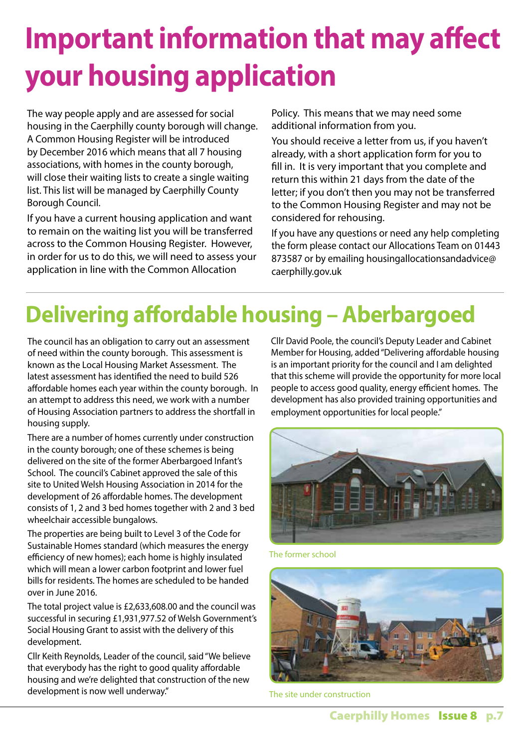# **Important information that may affect your housing application**

The way people apply and are assessed for social housing in the Caerphilly county borough will change. A Common Housing Register will be introduced by December 2016 which means that all 7 housing associations, with homes in the county borough, will close their waiting lists to create a single waiting list. This list will be managed by Caerphilly County Borough Council.

If you have a current housing application and want to remain on the waiting list you will be transferred across to the Common Housing Register. However, in order for us to do this, we will need to assess your application in line with the Common Allocation

Policy. This means that we may need some additional information from you.

You should receive a letter from us, if you haven't already, with a short application form for you to fill in. It is very important that you complete and return this within 21 days from the date of the letter; if you don't then you may not be transferred to the Common Housing Register and may not be considered for rehousing.

If you have any questions or need any help completing the form please contact our Allocations Team on 01443 873587 or by emailing housingallocationsandadvice@ caerphilly.gov.uk

### **Delivering affordable housing – Aberbargoed**

The council has an obligation to carry out an assessment of need within the county borough. This assessment is known as the Local Housing Market Assessment. The latest assessment has identified the need to build 526 affordable homes each year within the county borough. In an attempt to address this need, we work with a number of Housing Association partners to address the shortfall in housing supply.

There are a number of homes currently under construction in the county borough; one of these schemes is being delivered on the site of the former Aberbargoed Infant's School. The council's Cabinet approved the sale of this site to United Welsh Housing Association in 2014 for the development of 26 affordable homes. The development consists of 1, 2 and 3 bed homes together with 2 and 3 bed wheelchair accessible bungalows.

The properties are being built to Level 3 of the Code for Sustainable Homes standard (which measures the energy efficiency of new homes); each home is highly insulated which will mean a lower carbon footprint and lower fuel bills for residents. The homes are scheduled to be handed over in June 2016.

The total project value is £2,633,608.00 and the council was successful in securing £1,931,977.52 of Welsh Government's Social Housing Grant to assist with the delivery of this development.

Cllr Keith Reynolds, Leader of the council, said"We believe that everybody has the right to good quality affordable housing and we're delighted that construction of the new development is now well underway."

Cllr David Poole, the council's Deputy Leader and Cabinet Member for Housing, added"Delivering affordable housing is an important priority for the council and I am delighted that this scheme will provide the opportunity for more local people to access good quality, energy efficient homes. The development has also provided training opportunities and employment opportunities for local people."



The former school



The site under construction